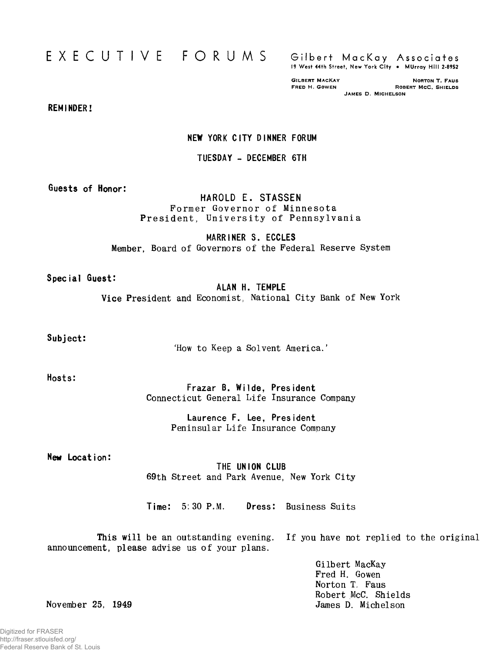# EXECUTIVE FORUMS Gilbert MacKay Associates

**19 West 44th Street, New York C ity • MUrray H ill 2-8952**

GILBERT MACKAY **FRED H** CONTON T. FAUS<br>FRED H. GOWEN **FRED H** ROBERT MCC, SHIELDS ROBERT MCC. SHIELDS JAMES D. MICHELSON

**REMINDER!**

#### **NEW YORK CITY DINNER FORUM**

#### **TUESDAY - DECEMBER 6TH**

**Guests of Honor:**

### **HAROLD E. STASSEN** Former Governor of Minnesota President, University of Pennsylvania

**MARRINER S. ECCLES Member,** Board of Governors of the Federal Reserve System

**Special Guest:**

**ALAN H. TEMPLE Vice** President and Economist, National City Bank of New York

**Subject:**

'How to Keep a Solvent America.'

**Hosts:**

Frazar B. Wilde, President Connecticut General Life Insurance Company

> **Laurence F. Lee, President** Peninsular Life Insurance Company

**New Location:**

**THE UNION CLUB** 69th Street and Park Avenue, New York City

**Time:** 5:30P.M. **Dress:** Business Suits

This will be an outstanding evening, announcement, please advise us of your plans. If you have not replied to the original

> Gilbert MacKay Fred H. Gowen Norton T, Faus Robert McC. Shields James D. Michelson

November 25, 1949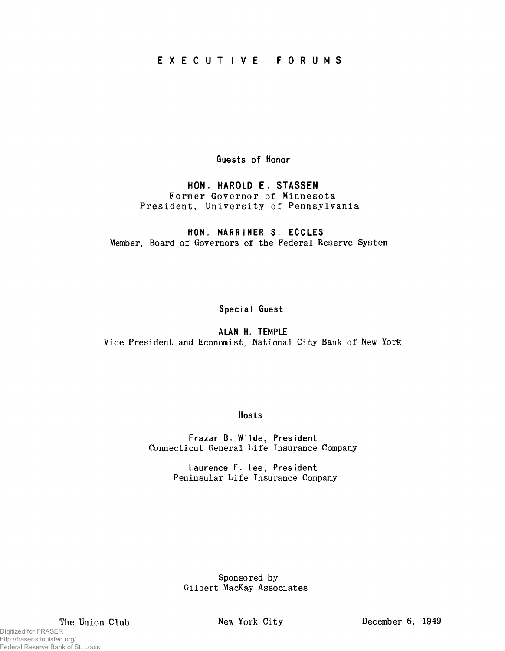## **E X E C U T I V E FORUMS**

**Guests of Honor**

**HON. HAROLD E. STASSEN** Former Governor of Minnesota President, University of Pennsylvania

**HON, MARRINER S, ECCLES** Member, Board of Governors of the Federal Reserve System

**Special Guest**

**A UN H. TEMPLE** Vice President and Economist, National City Bank of New York

**Hosts**

**Frazar B, Wilde, President** Connecticut General Life Insurance Company

> **Laurence F. Lee, President** Peninsular Life Insurance Company

Sponsored by Gilbert MacKay Associates

Digitized for FRASER

http://fraser.stlouisfed.org/ Federal Reserve Bank of St. Louis

The Union Club New York City December 6, 1949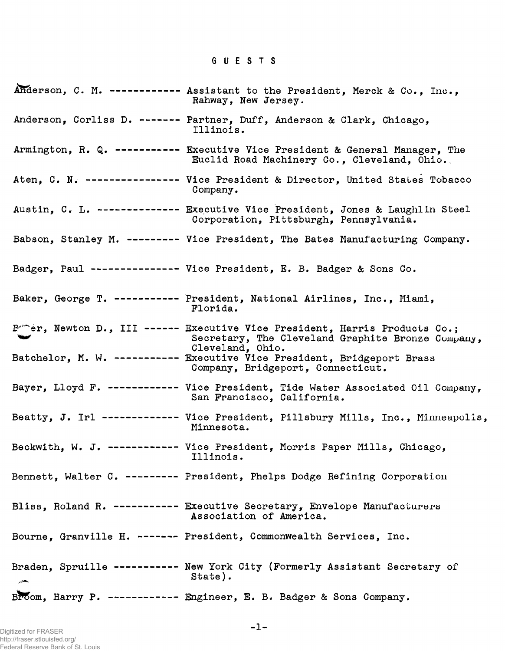## GUESTS

| Anderson, C. M. ------------ Assistant to the President, Merck & Co., Inc.,<br>Rahway, New Jersey.                                                     |
|--------------------------------------------------------------------------------------------------------------------------------------------------------|
| Anderson, Corliss D. ------- Partner, Duff, Anderson & Clark, Chicago,<br>Illinois.                                                                    |
| Armington, R. Q. ---------- Executive Vice President & General Manager, The<br>Euclid Road Machinery Co., Cleveland, Ohio.                             |
| Aten, C. N. --------------- Vice President & Director, United States Tobacco<br>Company.                                                               |
| Austin, C. L. ------------- Executive Vice President, Jones & Laughlin Steel<br>Corporation, Pittsburgh, Pennsylvania.                                 |
| Babson, Stanley M. -------- Vice President, The Bates Manufacturing Company.                                                                           |
| Badger, Paul -------------- Vice President, E. B. Badger & Sons Co.                                                                                    |
| Baker, George T. ---------- President, National Airlines, Inc., Miami,<br>Florida.                                                                     |
| Portion, Newton D., III ------ Executive Vice President, Harris Products Co.;<br>Secretary, The Cleveland Graphite Bronze Company,<br>Cleveland, Ohio. |
| Batchelor, M. W. ---------- Executive Vice President, Bridgeport Brass<br>Company, Bridgeport, Connecticut.                                            |
| Bayer, Lloyd F. ----------- Vice President, Tide Water Associated Oil Company,<br>San Francisco, California.                                           |
| Beatty, J. Irl ------------- Vice President, Pillsbury Mills, Inc., Minneapolis,<br>Minnesota.                                                         |
| Beckwith, W. J. ----------- Vice President, Morris Paper Mills, Chicago,<br>Illinois.                                                                  |
| Bennett, Walter C. -------- President, Phelps Dodge Refining Corporation                                                                               |
| Bliss, Roland R. ---------- Executive Secretary, Envelope Manufacturers<br>Association of America.                                                     |
| Bourne, Granville H. ------ President, Commonwealth Services, Inc.                                                                                     |
| Braden, Spruille ---------- New York City (Formerly Assistant Secretary of<br>State).                                                                  |
| Broom, Harry P. ----------- Engineer, E. B. Badger & Sons Company.                                                                                     |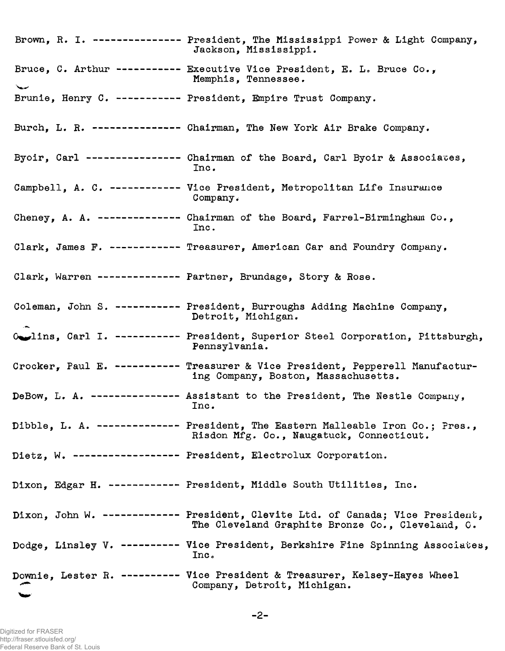**Brown, R. I. --------------- President, The Mississippi Power & Light Company, Jackson, Mississippi. Bruce, C. Arthur ----------- Executive Vice President, E. L. Bruce Co., Memphis, Tenne s see. Brunie,** Henry **C. ----------- President, Empire Trust Company. Burch, L. R. ---------------Chairman, The New York Air Brake Company.** Byoir, Carl ---------------- Chairman of the Board, Carl Byoir & Associates, **Inc. Campbell, A. C. ------------ Vice President, Metropolitan Life Insurance Company. Cheney, A. A. -------------- Chairman of the Board, Farrel-Birmingham Co., Inc. Clark, James P. ------------ Treasurer, American Car and Foundry Company. Clark, Warren -------------- Partner, Brundage, Story & Rose. Coleman, John S. ----------- President, Burroughs Adding Machine Company, Detroit, Michigan. 0%^lins, Carl I. ----------- President, Superior Steel Corporation, Pittsburgh, Pennsylvania. Crocker, Paul E. ----------- Treasurer & Vice President, Pepperell Manufacturing Company, Boston, Massachusetts. DeBow, L. A. --------------- Assistant to the President, The Nestle Company, Inc. Dibble, L. A. -------------- President, The Eastern Malleable Iron Co.; Pres., Risdon Mfg. Co., Naugatuck, Connecticut. Dietz, W. ------------------ President, Electrolux Corporation. Dixon, Edgar H. ------------ President, Middle South Utilities, Inc. Dixon, John W. ------------- President, Clevite Ltd. of Canada; Vice President, The Cleveland Graphite Bronze Co., Cleveland, 0. Dodge, Linsley V. ---------- Vice President, Berkshire Fine Spinning Associates, Inc. Downie, Lester R. ----------Vice President & Treasurer, Kelsey-Hayes Wheel Company, Detroit, Michigan.**

Digitized for FRASER http://fraser.stlouisfed.org/ Federal Reserve Bank of St. Louis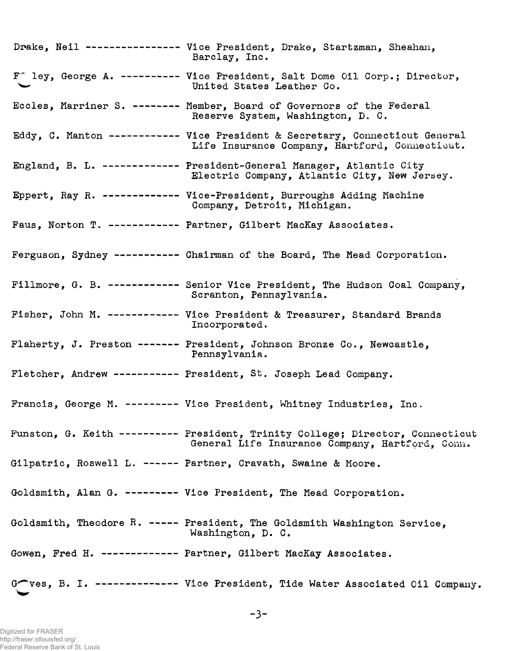Drake, Neil --------------- Vice President, Drake, Startzman, Sheahan, Barclay, Inc. F<sup>\*</sup> ley, George A. ---------- Vice President, Salt Dome Oil Corp.; Director, United States Leather Co. Eccles, Marriner S. ------- Member, Board of Governors of the Federal Reserve System, Washington, D. C. Eddy, C. Manton ----------- Vice President & Secretary, Connecticut General Life Insurance Company, Hartford, Connecticut. England, B. L. ------------ President-General Manager, Atlantic City Electric Company, Atlantic City, New Jersey. Eppert, Ray R. ------------ Vice-President, Burroughs Adding Machine Company, Detroit, Michigan. Paus, Norton T. ----------- Partner, Gilbert MacKay Associates. Ferguson, Sydney ---------- Chairman of the Board, The Mead Corporation. Fillmore, G. B. ----------- Senior Vice President, The Hudson Coal Company, Scranton, Pennsylvania. Fisher, John M. ----------- Vice President & Treasurer, Standard Brands Incorporated. Flaherty, J. Preston ------ President, Johnson Bronze Co., Newcastle, Pennsylvania. Fletcher, Andrew ---------- President, St. Joseph Lead Company. Francis, George M. -------- Vice President, Whitney Industries, Inc. Funston, G. Keith --------- President, Trinity College; Director, Connecticut General Life Insurance Company, Hartford, Conn. Gilpatric, Roswell L. ----- Partner, Cravath, Swaine & Moore. Goldsmith, Alan G. -------- Vice President, The Mead Corporation. Goldsmith, Theodore R. ---- President, The Goldsmith Washington Service, Washington, D. C. Gowen, Fred H. ------------ Partner, Gilbert MacKay Associates. G ves, B. I. ------------- Vice President, Tide Water Associated Oil Company.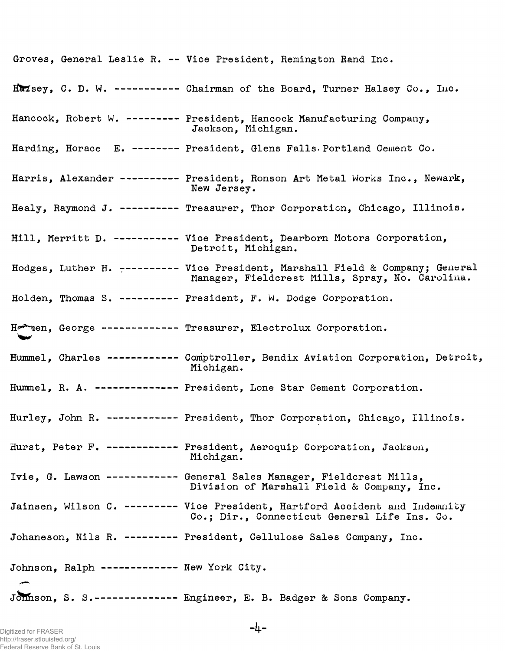**Groves, General Leslie R. — Vice President, Remington Rand Inc. Haisey, C. D. W. ----------- Chairman of the Board, Turner Halsey Co., Inc. Hancock, Robert W. --------- President, Hancock Manufacturing Company, Harding, Horace E. -------- President, Glens Palls-Portland Cement Co. Harris, Alexander ---------- President, Ronson Art Metal Works Inc., Newark, Healy, Raymond J. ---------- Treasurer, Thor Corporation, Chicago, Illinois. Hill, Merritt D. ----------- Vice President, Dearborn Motors Corporation, Hodges, Luther H.** 7**--------- Vice President, Marshall Field & Company; General Holden, Thomas S. ---------- President, P. W. Dodge Corporation. H^nen, G e o r g e------------- Treasurer, Electrolux Corporation. Hummel, Charles ------------ Comptroller, Bendix Aviation Corporation, Detroit, Hummel, R. A. -------------- President, Lone Star Cement Corporation. Hurley, John R. ------------ President, Thor Corporation, Chicago, Illinois. Hurst, Peter P. ------------ President, Aeroquip Corporation, Jackson, Ivie, G. Lawson ------------ General Sales Manager, Pieldcrest Mills, Jainsen, Wilson C. --------- Vice President, Hartford Accident and Indemnity Johaneson, Nils R. --------- President, Cellulose Sales Company, Inc. Johnson, Ralph ------------- New York City. Johnson, S. S.-------------- Engineer, E. B. Badger & Sons Company. Jackson, Michigan. New Jersey. Detroit, Michigan. Manager, Pieldcrest Mills, Spray, No. Carolina. Michigan. Michigan. Division of Marshall Field & Company, Inc. Co.; Dir., Connecticut General Life Ins. Co.**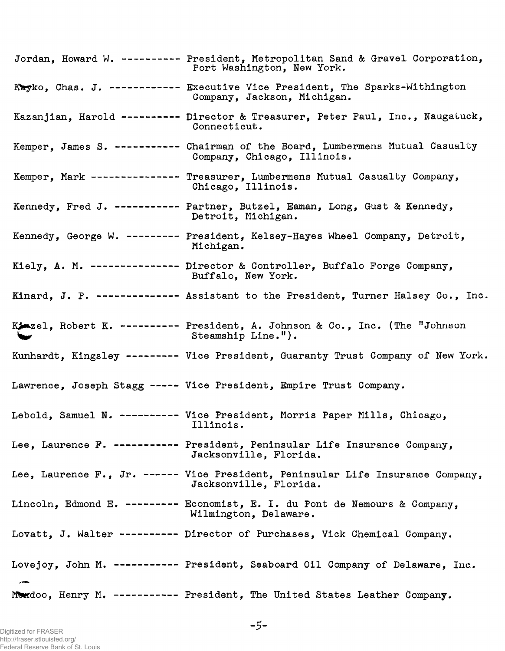Jordan, Howard W. --------- President, Metropolitan Sand & Gravel Corporation, Port Washington, New York. Kayko, Chas. J. ----------- Executive Vice President, The Sparks-Withington Company, Jackson, Michigan. Kazanjian, Harold --------- Director & Treasurer, Peter Paul, Inc., Naugatuck, Connecticut. Kemper, James S. ---------- Chairman of the Board, Lumbermens Mutual Casualty Company, Chicago, Illinois. Kemper, Mark -------------- Treasurer, Lumbermens Mutual Casualty Company, Chicago, Illinois. Kennedy, Fred J. ---------- Partner, Butzel, Eaman, Long, Gust & Kennedy, Detroit, Michigan. Kennedy, George W. -------- President, Kelsey-Hayes Wheel Company, Detroit, Michigan. Kiely, A. M. -------------- Director & Controller, Buffalo Forge Company, Buffalo, New York. Kinard, J. P. ------------- Assistant to the President, Turner Halsey Co., Inc. Kjezel, Robert K. --------- President, A. Johnson & Co., Inc. (The "Johnson Steamship Line."). Kunhardt, Kingsley -------- Vice President, Guaranty Trust Company of New York. Lawrence, Joseph Stagg ---- Vice President, Empire Trust Company. Lebold, Samuel N. --------- Vice President, Morris Paper Mills, Chicago, Illinois. Lee, Laurence F. ---------- President, Peninsular Life Insurance Company, Jacksonville, Florida. Lee, Laurence F., Jr. ----- Vice President, Peninsular Life Insurance Company, Jacksonville, Florida. Lincoln, Edmond E. -------- Economist, E. I. du Pont de Nemours & Company, Wilmington, Delaware. Lovatt, J. Walter --------- Director of Purchases, Vick Chemical Company. Lovejoy, John M. ---------- President, Seaboard Oil Company of Delaware, Inc. Mordoo, Henry M. ----------- President, The United States Leather Company.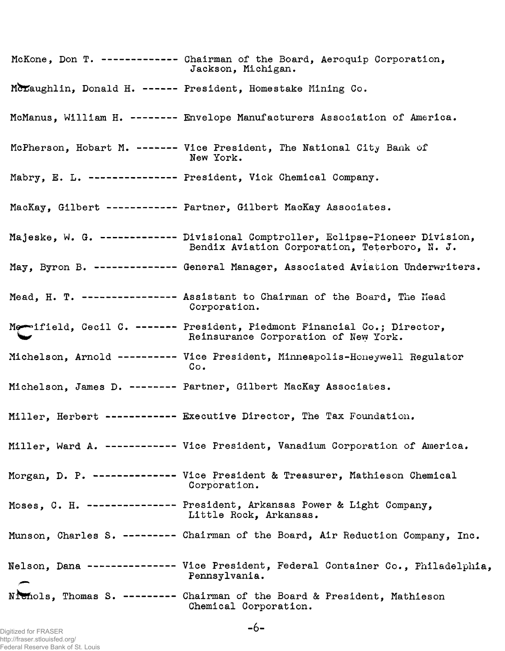| McKone, Don T. ------------ Chairman of the Board, Aeroquip Corporation,<br>Jackson, Michigan.                                 |
|--------------------------------------------------------------------------------------------------------------------------------|
| McLaughlin, Donald H. ------ President, Homestake Mining Co.                                                                   |
| McManus, William H. -------- Envelope Manufacturers Association of America.                                                    |
| McPherson, Hobart M. ------- Vice President, The National City Bank of<br>New York.                                            |
| Mabry, E. L. --------------- President, Vick Chemical Company.                                                                 |
| MacKay, Gilbert ------------ Partner, Gilbert MacKay Associates.                                                               |
| Majeske, W. G. ------------ Divisional Comptroller, Eclipse-Pioneer Division,<br>Bendix Aviation Corporation, Teterboro, N. J. |
| May, Byron B. ------------- General Manager, Associated Aviation Underwriters.                                                 |
| Mead, H. T. --------------- Assistant to Chairman of the Board, The Mead<br>Corporation.                                       |
| Me-ifield, Cecil C. ------- President, Piedmont Financial Co.; Director,<br>Reinsurance Corporation of New York.               |
| Michelson, Arnold ---------- Vice President, Minneapolis-Honeywell Regulator<br>Co.                                            |
| Michelson, James D. ------- Partner, Gilbert MacKay Associates.                                                                |
| Miller, Herbert ------------ Executive Director, The Tax Foundation.                                                           |
| Miller, Ward A. ----------- Vice President, Vanadium Corporation of America.                                                   |
| Morgan, D. P. ------------- Vice President & Treasurer, Mathieson Chemical<br>Corporation.                                     |
| Moses, C. H. --------------- President, Arkansas Power & Light Company,<br>Little Rock, Arkansas.                              |
| Munson, Charles S. --------- Chairman of the Board, Air Reduction Company, Inc.                                                |
| Nelson, Dana -------------- Vice President, Federal Container Co., Philadelphia,<br>Pennsylvania.                              |
| Nichols, Thomas S. -------- Chairman of the Board & President, Mathieson<br>Chemical Corporation.                              |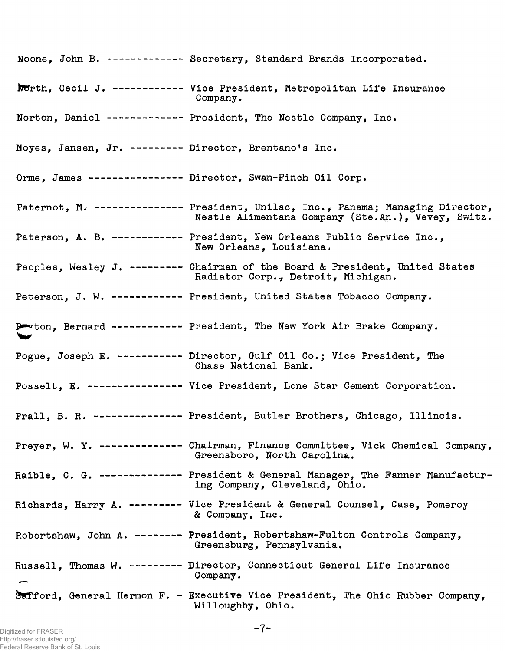|                                                        | Noone, John B. ------------ Secretary, Standard Brands Incorporated.                                                                  |
|--------------------------------------------------------|---------------------------------------------------------------------------------------------------------------------------------------|
|                                                        | North, Cecil J. ----------- Vice President, Metropolitan Life Insurance<br>Company.                                                   |
|                                                        | Norton. Daniel ------------ President, The Nestle Company, Inc.                                                                       |
| Noyes, Jansen, Jr. --------- Director, Brentano's Inc. |                                                                                                                                       |
|                                                        | Orme, James ---------------- Director, Swan-Finch Oil Corp.                                                                           |
|                                                        | Paternot, M. -------------- President, Unilac, Inc., Panama; Managing Director,<br>Nestle Alimentana Company (Ste.An.), Vevey, Switz. |
|                                                        | Paterson, A. B. ------------ President, New Orleans Public Service Inc.,<br>New Orleans, Louisiana.                                   |
|                                                        | Peoples, Wesley J. --------- Chairman of the Board & President, United States<br>Radiator Corp., Detroit, Michigan.                   |
|                                                        | Peterson, J. W. ------------ President, United States Tobacco Company.                                                                |
|                                                        | Porton, Bernard ------------ President, The New York Air Brake Company.                                                               |
|                                                        | Pogue, Joseph E. ---------- Director, Gulf Oil Co.; Vice President, The<br>Chase National Bank.                                       |
|                                                        | Posselt, E. --------------- Vice President, Lone Star Cement Corporation.                                                             |
|                                                        | Prall. B. R. --------------- President, Butler Brothers, Chicago, Illinois.                                                           |
|                                                        | Preyer, W. Y. ------------- Chairman, Finance Committee, Vick Chemical Company,<br>Greensboro, North Carolina.                        |
|                                                        | Raible, C. G. -------------- President & General Manager, The Fanner Manufactur-<br>ing Company, Cleveland, Ohio.                     |
|                                                        | Richards, Harry A. --------- Vice President & General Counsel, Case, Pomeroy<br>& Company, Inc.                                       |
|                                                        | Robertshaw, John A. ------- President, Robertshaw-Fulton Controls Company,<br>Greensburg, Pennsylvania.                               |
|                                                        | Russell, Thomas W. --------- Director, Connecticut General Life Insurance<br>Company.                                                 |
|                                                        | Safford, General Hermon F. - Executive Vice President, The Ohio Rubber Company,<br>Willoughby, Ohio.                                  |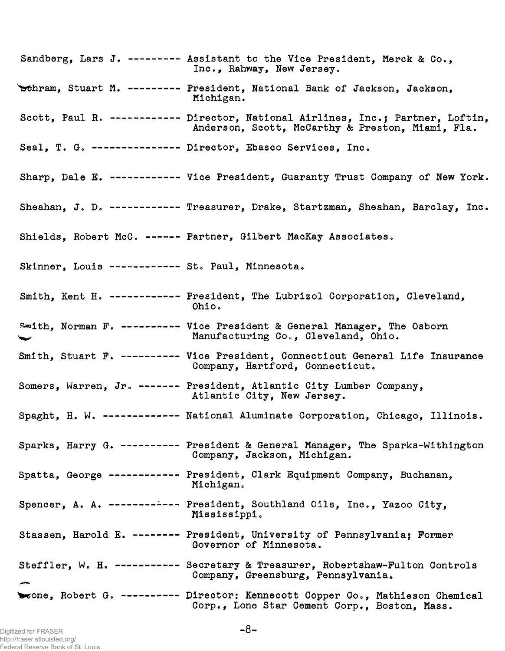Sandberg, Lars J. -------- Assistant to the Vice President, Merck & Co., Inc., Rahway, New Jersey. 'schram, Stuart M. --------- President, National Bank of Jackson, Jackson, Michigan. Scott, Paul R. ----------- Director, National Airlines, Inc.; Partner, Loftin, Anderson, Scott, McCarthy & Preston, Miami, Pla. Seal, T. G. -------------- Director, Ebasco Services, Inc. Sharp, Dale E. ----------- Vice President, Guaranty Trust Company of New York. Sheahan, J. D. ----------- Treasurer, Drake, Startzman, Sheahan, Barclay, Inc. Shields, Robert McC. ----- Partner, Gilbert MacKay Associates. Skinner, Louis ----------- St. Paul, Minnesota. Smith, Kent H. ------------ President, The Lubrizol Corporation, Cleveland, Ohio. Smith, Norman F. --------- Vice President & General Manager, The Osborn Manufacturing Co., Cleveland, Ohio. Smith, Stuart P. --------- Vice President, Connecticut General Life Insurance Company, Hartford, Connecticut. Somers, Warren, Jr. ------ President, Atlantic City Lumber Company, Atlantic City, New Jersey. Spaght, H. W. -------- ---- National Aluminate Corporation, Chicago, Illinois. Sparks, Harry G. --------- President & General Manager, The Sparks-Withington Company, Jackson, Michigan. Spatta, George ----------- President, Clark Equipment Company, Buchanan, Michigan. Spencer, A. A. ------------ President, Southland Oils, Inc., Yazoo City, Mississippi. Stassen, Harold E. ------- President, University of Pennsylvania; Former Governor of Minnesota. Steffler, W. H. ---------- Secretary & Treasurer, Robertshaw-Fulton Controls Company, Greensburg, Pennsylvania. wone, Robert G. --------- Director: Kennecott Copper Co., Mathieson Chemical Corp., Lone Star Cement Corp., Boston, Mass.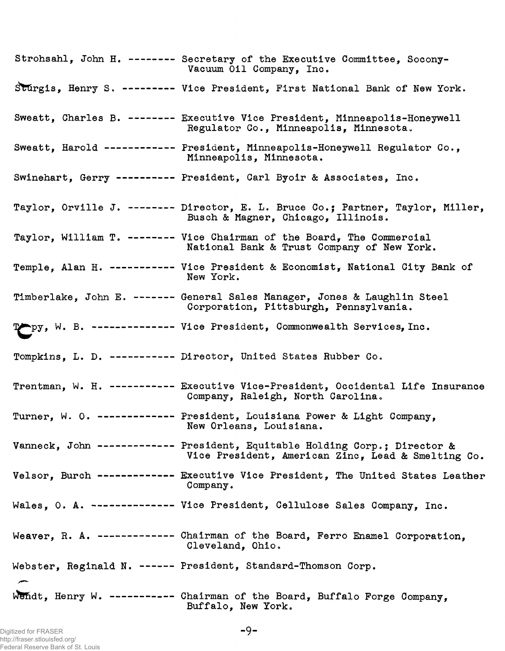| Strohsahl, John H. -------- Secretary of the Executive Committee, Socony-<br>Vacuum Oil Company, Inc.                           |
|---------------------------------------------------------------------------------------------------------------------------------|
| Sturgis, Henry S. --------- Vice President, First National Bank of New York.                                                    |
| Sweatt, Charles B. -------- Executive Vice President, Minneapolis-Honeywell<br>Regulator Co., Minneapolis, Minnesota.           |
| Sweatt, Harold ----------- President, Minneapolis-Honeywell Regulator Co.,<br>Minneapolis, Minnesota.                           |
| Swinehart, Gerry ---------- President, Carl Byoir & Associates, Inc.                                                            |
| Taylor, Orville J. -------- Director, E. L. Bruce Co.; Partner, Taylor, Miller,<br>Busch & Magner, Chicago, Illinois.           |
| Taylor, William T. ------- Vice Chairman of the Board, The Commercial<br>National Bank & Trust Company of New York.             |
| Temple. Alan H. ----------- Vice President & Economist, National City Bank of<br>New York.                                      |
| Timberlake, John E. ------- General Sales Manager, Jones & Laughlin Steel<br>Corporation, Pittsburgh, Pennsylvania.             |
| Topy, W. B. ------------- Vice President, Commonwealth Services, Inc.                                                           |
| Tompkins, L. D. ----------- Director, United States Rubber Co.                                                                  |
| Trentman, W. H. ---------- Executive Vice-President, Occidental Life Insurance<br>Company, Raleigh, North Carolina.             |
| Turner, W. O. ------------ President, Louisiana Power & Light Company,<br>New Orleans, Louisiana.                               |
| Vanneck, John ------------ President, Equitable Holding Corp.; Director &<br>Vice President, American Zinc, Lead & Smelting Co. |
| Velsor, Burch ------------ Executive Vice President, The United States Leather<br>Company.                                      |
| Wales, O. A. ------------- Vice President, Cellulose Sales Company, Inc.                                                        |
| Weaver, R. A. ------------ Chairman of the Board, Ferro Enamel Corporation,<br>Cleveland, Ohio.                                 |
| Webster, Reginald N. ------ President, Standard-Thomson Corp.                                                                   |
| Wendt. Henry W. ----------- Chairman of the Board, Buffalo Forge Company,<br>Buffalo, New York.                                 |